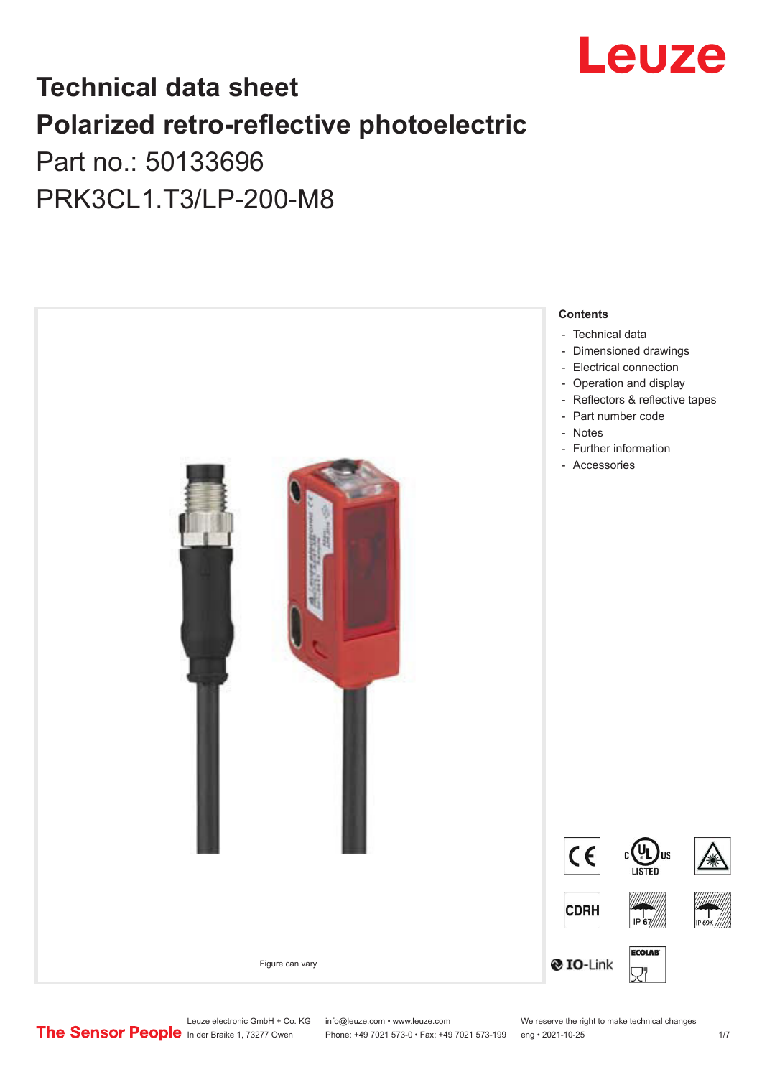

# **Technical data sheet Polarized retro-reflective photoelectric**  Part no.: 50133696

PRK3CL1.T3/LP-200-M8



Leuze electronic GmbH + Co. KG info@leuze.com • www.leuze.com We reserve the right to make technical changes<br>
The Sensor People in der Braike 1, 73277 Owen Phone: +49 7021 573-0 • Fax: +49 7021 573-199 eng • 2021-10-25

Phone: +49 7021 573-0 • Fax: +49 7021 573-199 eng • 2021-10-25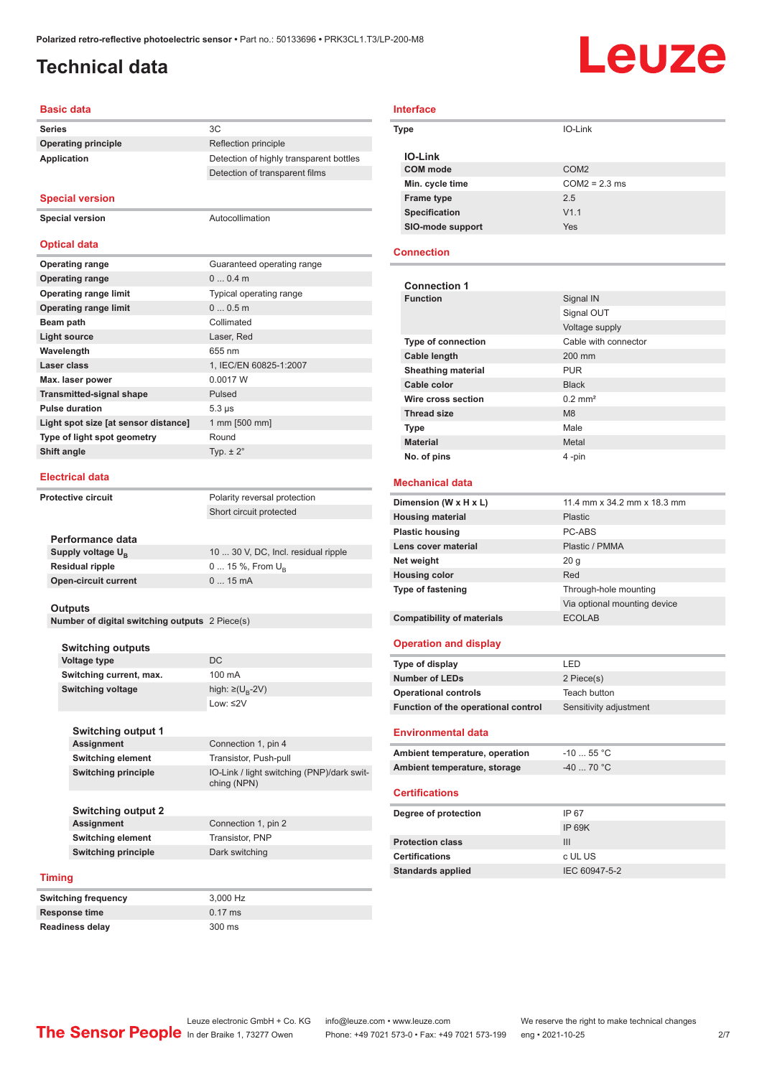Detection of transparent films

# <span id="page-1-0"></span>**Technical data**

# Leuze

## **Basic data**

**Series** 3C **Operating principle** Reflection principle **Application** Detection of highly transparent bottles

## **Special version**

**Special version** Autocollimation

## **Optical data**

| <b>Operating range</b>               | Guaranteed operating range |
|--------------------------------------|----------------------------|
| <b>Operating range</b>               | $00.4$ m                   |
| <b>Operating range limit</b>         | Typical operating range    |
| <b>Operating range limit</b>         | 00.5m                      |
| Beam path                            | Collimated                 |
| <b>Light source</b>                  | Laser, Red                 |
| Wavelength                           | 655 nm                     |
| Laser class                          | 1, IEC/EN 60825-1:2007     |
| Max. laser power                     | 0.0017 W                   |
| <b>Transmitted-signal shape</b>      | Pulsed                     |
| <b>Pulse duration</b>                | $5.3 \,\mu s$              |
| Light spot size [at sensor distance] | 1 mm [500 mm]              |
| Type of light spot geometry          | Round                      |
| Shift angle                          | Typ. $\pm 2^{\circ}$       |
|                                      |                            |

### **Electrical data**

**Performance data Supply voltage U<sub>B</sub>** 

**Residual ripple Open-circuit current** 

**Protective circuit** Polarity reversal protection Short circuit protected

| 10  30 V, DC, Incl. residual ripple |
|-------------------------------------|
| $0 15 \%$ , From $U_{p}$            |
| $015$ mA                            |

### **Outputs**

**Number of digital switching outputs** 2 Piece(s)

## **Switching outputs**

**Voltage type** DC **Switching current, max.** 100 mA **Switching voltage** 

Low: ≤2V **Switching output 1 Assignment** Connection 1, pin 4

high:  $\geq$ (U<sub>p</sub>-2V)

**Switching element** Transistor, Push-pull **Switching principle** IO-Link / light switching (PNP)/dark switching (NPN)

**Switching output 2 Assignment** Connection 1, pin 2 **Switching element** Transistor, PNP **Switching principle** Dark switching

## **Timing**

**Switching frequency** 3,000 Hz **Response time** 0.17 ms **Readiness delay** 300 ms

| <b>Interface</b>     |                  |
|----------------------|------------------|
| Type                 | IO-Link          |
| <b>IO-Link</b>       |                  |
| COM mode             | COM <sub>2</sub> |
| Min. cycle time      | $COM2 = 2.3$ ms  |
| <b>Frame type</b>    | 2.5              |
| <b>Specification</b> | V1.1             |
| SIO-mode support     | Yes              |

### **Connection**

| <b>Connection 1</b>       |                              |
|---------------------------|------------------------------|
| <b>Function</b>           | Signal IN                    |
|                           | Signal OUT                   |
|                           | Voltage supply               |
| <b>Type of connection</b> | Cable with connector         |
| Cable length              | 200 mm                       |
| <b>Sheathing material</b> | <b>PUR</b>                   |
| Cable color               | <b>Black</b>                 |
| Wire cross section        | $0.2$ mm <sup>2</sup>        |
| <b>Thread size</b>        | M <sub>8</sub>               |
| <b>Type</b>               | Male                         |
| <b>Material</b>           | Metal                        |
| No. of pins               | 4-pin                        |
| <b>Mechanical data</b>    |                              |
| Dimension (W x H x L)     | 11.4 mm x 34.2 mm x 18.3 mm  |
| <b>Housing material</b>   | Plastic                      |
| <b>Plastic housing</b>    | PC-ABS                       |
| Lens cover material       | Plastic / PMMA               |
| Net weight                | 20q                          |
| <b>Housing color</b>      | Red                          |
| <b>Type of fastening</b>  | Through-hole mounting        |
|                           | Via optional mounting device |

## **Operation and display**

**Compatibility of materials** ECOLAB

| Type of display                     | I FD.                  |
|-------------------------------------|------------------------|
| Number of LEDs                      | 2 Piece(s)             |
| <b>Operational controls</b>         | Teach button           |
| Function of the operational control | Sensitivity adjustment |

### **Environmental data**

| Ambient temperature, operation | $-10$ 55 °C $\,$ |
|--------------------------------|------------------|
| Ambient temperature, storage   | -40  70 °C       |

## **Certifications**

| Degree of protection     | IP 67         |
|--------------------------|---------------|
|                          | IP 69K        |
| <b>Protection class</b>  | Ш             |
| <b>Certifications</b>    | c UL US       |
| <b>Standards applied</b> | IEC 60947-5-2 |

Phone: +49 7021 573-0 • Fax: +49 7021 573-199 eng • 2021-10-25 2/7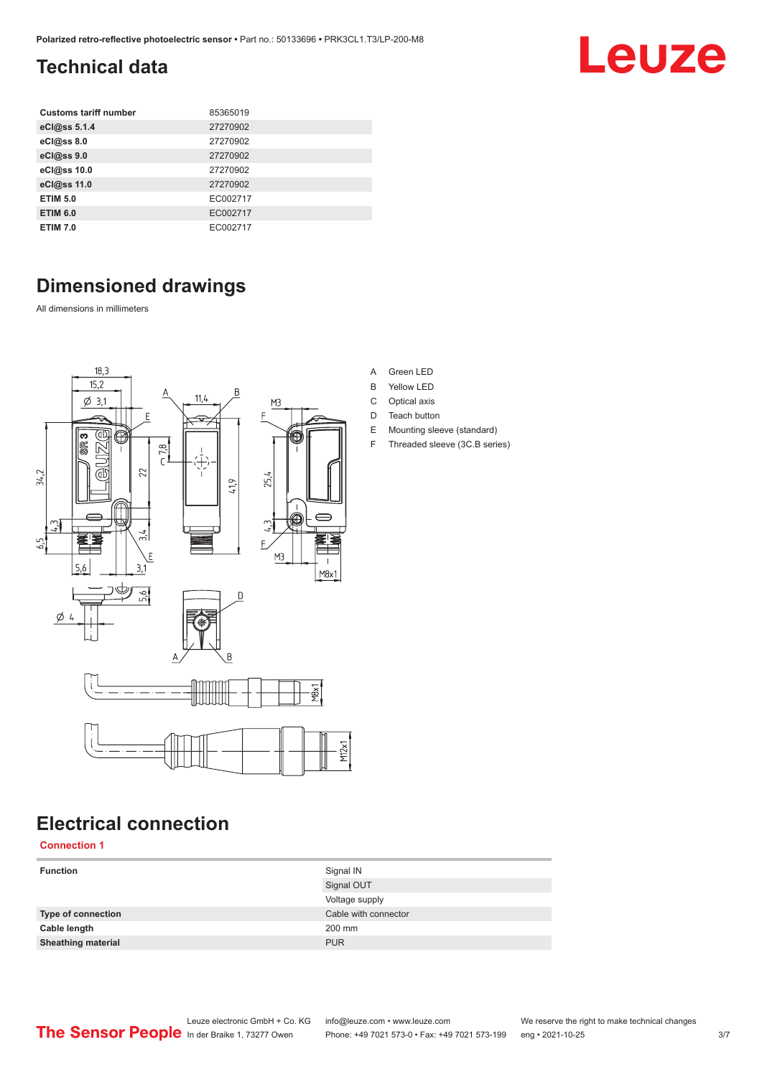# <span id="page-2-0"></span>**Technical data**

| <b>Customs tariff number</b> | 85365019 |
|------------------------------|----------|
| eCl@ss 5.1.4                 | 27270902 |
| eCl@ss 8.0                   | 27270902 |
| eCl@ss 9.0                   | 27270902 |
| eCl@ss 10.0                  | 27270902 |
| eCl@ss 11.0                  | 27270902 |
| <b>ETIM 5.0</b>              | EC002717 |
| <b>ETIM 6.0</b>              | EC002717 |
| <b>ETIM 7.0</b>              | EC002717 |

# **Dimensioned drawings**

All dimensions in millimeters



# **Electrical connection**

**Connection 1**

| <b>Function</b>           | Signal IN<br>Signal OUT |
|---------------------------|-------------------------|
|                           | Voltage supply          |
| Type of connection        | Cable with connector    |
| Cable length              | 200 mm                  |
| <b>Sheathing material</b> | <b>PUR</b>              |
|                           |                         |

| Green LED |  |
|-----------|--|
|           |  |

- B Yellow LED
- C Optical axis
- D Teach button
- E Mounting sleeve (standard)
- F Threaded sleeve (3C.B series)

Leuze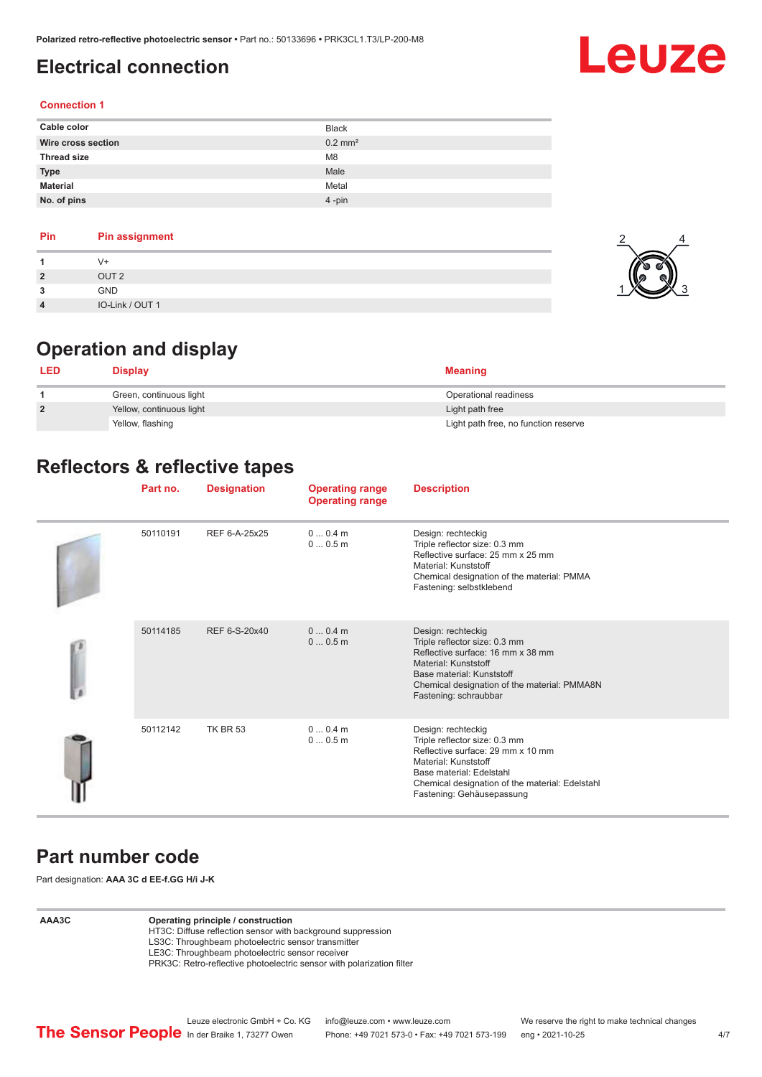# <span id="page-3-0"></span>**Electrical connection**

# Leuze

2

4

## **Connection 1**

| Cable color        | <b>Black</b>          |
|--------------------|-----------------------|
| Wire cross section | $0.2$ mm <sup>2</sup> |
| <b>Thread size</b> | M <sub>8</sub>        |
| <b>Type</b>        | Male                  |
| <b>Material</b>    | Metal                 |
| No. of pins        | $4$ -pin              |

## **Pin Pin assignment**

|                | V+               |  |
|----------------|------------------|--|
| $\overline{2}$ | OUT <sub>2</sub> |  |
| 3              | <b>GND</b>       |  |
| $\overline{4}$ | IO-Link / OUT 1  |  |

# **Operation and display**

| <b>LED</b>     | <b>Display</b>           | <b>Meaning</b>                       |  |
|----------------|--------------------------|--------------------------------------|--|
|                | Green, continuous light  | Operational readiness                |  |
| $\overline{2}$ | Yellow, continuous light | Light path free                      |  |
|                | Yellow, flashing         | Light path free, no function reserve |  |

# **Reflectors & reflective tapes**

|  | Part no. | <b>Designation</b> | <b>Operating range</b><br><b>Operating range</b> | <b>Description</b>                                                                                                                                                                                                           |
|--|----------|--------------------|--------------------------------------------------|------------------------------------------------------------------------------------------------------------------------------------------------------------------------------------------------------------------------------|
|  | 50110191 | REF 6-A-25x25      | $00.4$ m<br>00.5m                                | Design: rechteckig<br>Triple reflector size: 0.3 mm<br>Reflective surface: 25 mm x 25 mm<br>Material: Kunststoff<br>Chemical designation of the material: PMMA<br>Fastening: selbstklebend                                   |
|  | 50114185 | REF 6-S-20x40      | 00.4m<br>00.5m                                   | Design: rechteckig<br>Triple reflector size: 0.3 mm<br>Reflective surface: 16 mm x 38 mm<br>Material: Kunststoff<br>Base material: Kunststoff<br>Chemical designation of the material: PMMA8N<br>Fastening: schraubbar       |
|  | 50112142 | <b>TK BR 53</b>    | $00.4$ m<br>00.5m                                | Design: rechteckig<br>Triple reflector size: 0.3 mm<br>Reflective surface: 29 mm x 10 mm<br>Material: Kunststoff<br>Base material: Edelstahl<br>Chemical designation of the material: Edelstahl<br>Fastening: Gehäusepassung |

# **Part number code**

Part designation: **AAA 3C d EE-f.GG H/i J-K**

## **AAA3C Operating principle / construction**

HT3C: Diffuse reflection sensor with background suppression LS3C: Throughbeam photoelectric sensor transmitter

LE3C: Throughbeam photoelectric sensor receiver

PRK3C: Retro-reflective photoelectric sensor with polarization filter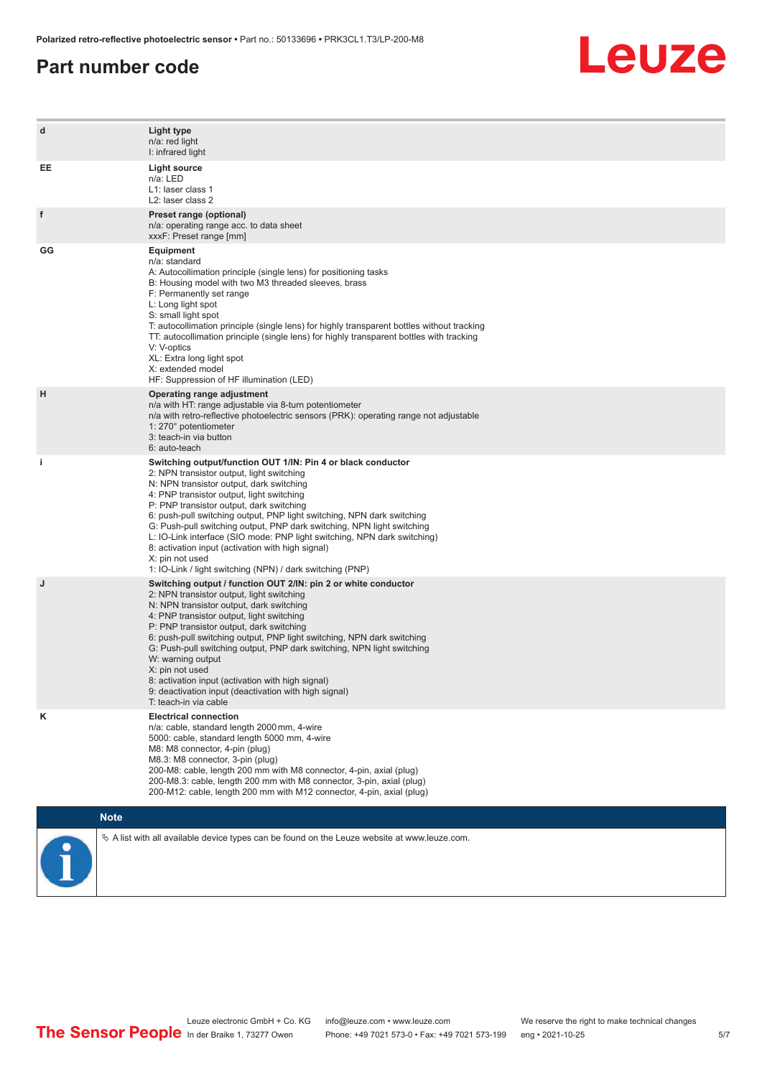## **Part number code**



| d  | Light type<br>n/a: red light<br>I: infrared light                                                                                                                                                                                                                                                                                                                                                                                                                                                                                                                                                                   |
|----|---------------------------------------------------------------------------------------------------------------------------------------------------------------------------------------------------------------------------------------------------------------------------------------------------------------------------------------------------------------------------------------------------------------------------------------------------------------------------------------------------------------------------------------------------------------------------------------------------------------------|
| EE | <b>Light source</b><br>n/a: LED<br>L1: laser class 1<br>L2: laser class 2                                                                                                                                                                                                                                                                                                                                                                                                                                                                                                                                           |
| f  | Preset range (optional)<br>n/a: operating range acc. to data sheet<br>xxxF: Preset range [mm]                                                                                                                                                                                                                                                                                                                                                                                                                                                                                                                       |
| GG | Equipment<br>n/a: standard<br>A: Autocollimation principle (single lens) for positioning tasks<br>B: Housing model with two M3 threaded sleeves, brass<br>F: Permanently set range<br>L: Long light spot<br>S: small light spot<br>T: autocollimation principle (single lens) for highly transparent bottles without tracking<br>TT: autocollimation principle (single lens) for highly transparent bottles with tracking<br>V: V-optics<br>XL: Extra long light spot<br>X: extended model<br>HF: Suppression of HF illumination (LED)                                                                              |
| н  | Operating range adjustment<br>n/a with HT: range adjustable via 8-turn potentiometer<br>n/a with retro-reflective photoelectric sensors (PRK): operating range not adjustable<br>1: 270° potentiometer<br>3: teach-in via button<br>6: auto-teach                                                                                                                                                                                                                                                                                                                                                                   |
| i. | Switching output/function OUT 1/IN: Pin 4 or black conductor<br>2: NPN transistor output, light switching<br>N: NPN transistor output, dark switching<br>4: PNP transistor output, light switching<br>P: PNP transistor output, dark switching<br>6: push-pull switching output, PNP light switching, NPN dark switching<br>G: Push-pull switching output, PNP dark switching, NPN light switching<br>L: IO-Link interface (SIO mode: PNP light switching, NPN dark switching)<br>8: activation input (activation with high signal)<br>X: pin not used<br>1: IO-Link / light switching (NPN) / dark switching (PNP) |
| J  | Switching output / function OUT 2/IN: pin 2 or white conductor<br>2: NPN transistor output, light switching<br>N: NPN transistor output, dark switching<br>4: PNP transistor output, light switching<br>P: PNP transistor output, dark switching<br>6: push-pull switching output, PNP light switching, NPN dark switching<br>G: Push-pull switching output, PNP dark switching, NPN light switching<br>W: warning output<br>X: pin not used<br>8: activation input (activation with high signal)<br>9: deactivation input (deactivation with high signal)<br>T: teach-in via cable                                 |
| κ  | <b>Electrical connection</b><br>n/a: cable, standard length 2000 mm, 4-wire<br>5000: cable, standard length 5000 mm, 4-wire<br>M8: M8 connector, 4-pin (plug)<br>M8.3: M8 connector, 3-pin (plug)<br>200-M8: cable, length 200 mm with M8 connector, 4-pin, axial (plug)<br>200-M8.3: cable, length 200 mm with M8 connector, 3-pin, axial (plug)<br>200-M12: cable, length 200 mm with M12 connector, 4-pin, axial (plug)                                                                                                                                                                                          |
|    | <b>Note</b>                                                                                                                                                                                                                                                                                                                                                                                                                                                                                                                                                                                                         |
|    | $\&$ A list with all available device types can be found on the Leuze website at www.leuze.com.                                                                                                                                                                                                                                                                                                                                                                                                                                                                                                                     |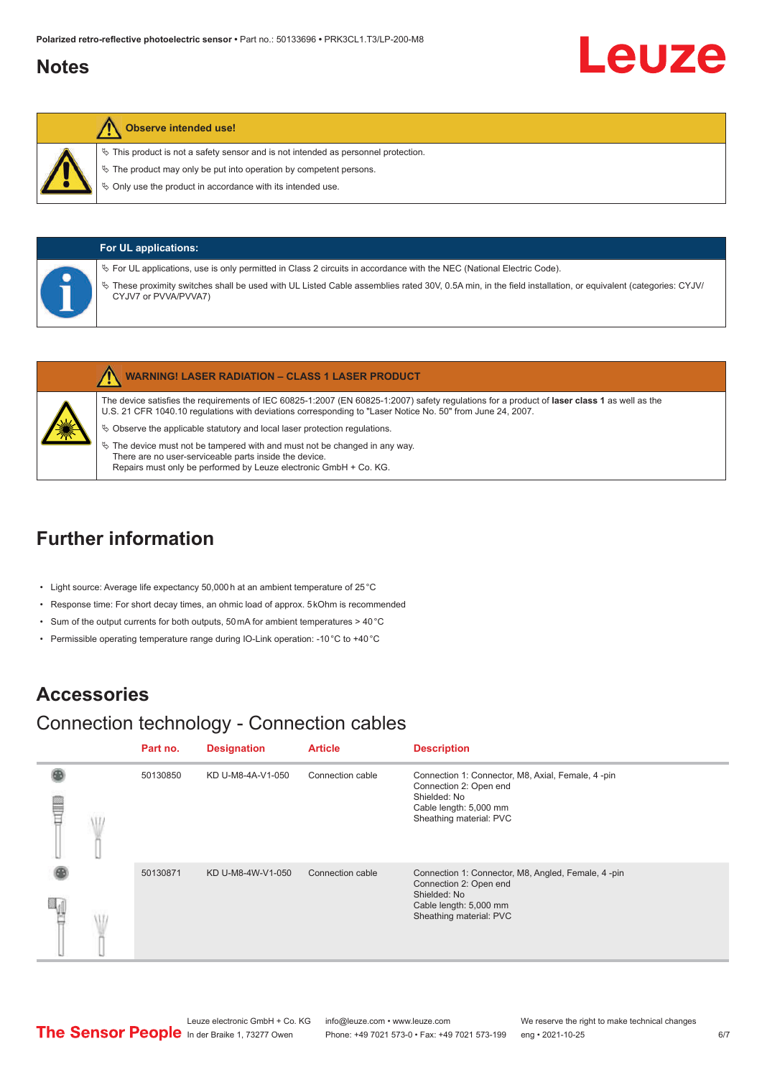## <span id="page-5-0"></span>**Notes**

# Leuze

## **Observe intended use!**

 $\%$  This product is not a safety sensor and is not intended as personnel protection.

 $\ddot{\phi}$  The product may only be put into operation by competent persons.

 $\%$  Only use the product in accordance with its intended use.

| <b>For UL applications:</b>                                                                                                                                                                                                                                                                                |
|------------------------------------------------------------------------------------------------------------------------------------------------------------------------------------------------------------------------------------------------------------------------------------------------------------|
| Version UL applications, use is only permitted in Class 2 circuits in accordance with the NEC (National Electric Code).<br>These proximity switches shall be used with UL Listed Cable assemblies rated 30V, 0.5A min, in the field installation, or equivalent (categories: CYJV/<br>CYJV7 or PVVA/PVVA7) |

|   | <b>WARNING! LASER RADIATION - CLASS 1 LASER PRODUCT</b>                                                                                                                                                                                                    |
|---|------------------------------------------------------------------------------------------------------------------------------------------------------------------------------------------------------------------------------------------------------------|
|   | The device satisfies the requirements of IEC 60825-1:2007 (EN 60825-1:2007) safety requlations for a product of laser class 1 as well as the<br>U.S. 21 CFR 1040.10 regulations with deviations corresponding to "Laser Notice No. 50" from June 24, 2007. |
| X | $\%$ Observe the applicable statutory and local laser protection regulations.                                                                                                                                                                              |
|   | $\%$ The device must not be tampered with and must not be changed in any way.                                                                                                                                                                              |

There are no user-serviceable parts inside the device. Repairs must only be performed by Leuze electronic GmbH + Co. KG.

# **Further information**

- Light source: Average life expectancy 50,000 h at an ambient temperature of 25 °C
- Response time: For short decay times, an ohmic load of approx. 5 kOhm is recommended
- Sum of the output currents for both outputs, 50 mA for ambient temperatures > 40 °C
- Permissible operating temperature range during IO-Link operation: -10 °C to +40 °C

# **Accessories**

# Connection technology - Connection cables

|   | Part no. | <b>Designation</b> | <b>Article</b>   | <b>Description</b>                                                                                                                                |
|---|----------|--------------------|------------------|---------------------------------------------------------------------------------------------------------------------------------------------------|
| ₩ | 50130850 | KD U-M8-4A-V1-050  | Connection cable | Connection 1: Connector, M8, Axial, Female, 4-pin<br>Connection 2: Open end<br>Shielded: No<br>Cable length: 5,000 mm<br>Sheathing material: PVC  |
|   | 50130871 | KD U-M8-4W-V1-050  | Connection cable | Connection 1: Connector, M8, Angled, Female, 4-pin<br>Connection 2: Open end<br>Shielded: No<br>Cable length: 5,000 mm<br>Sheathing material: PVC |